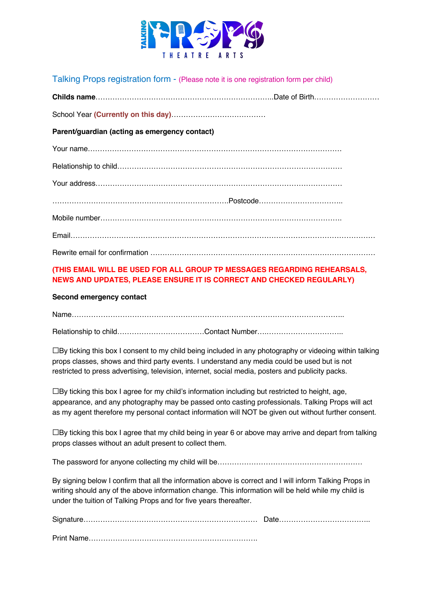

Talking Props registration form - (Please note it is one registration form per child)

| Parent/guardian (acting as emergency contact) |  |
|-----------------------------------------------|--|
|                                               |  |
|                                               |  |
|                                               |  |
|                                               |  |
|                                               |  |
|                                               |  |
|                                               |  |

## **(THIS EMAIL WILL BE USED FOR ALL GROUP TP MESSAGES REGARDING REHEARSALS, NEWS AND UPDATES, PLEASE ENSURE IT IS CORRECT AND CHECKED REGULARLY)**

### **Second emergency contact**

Name…………………………………………………………………………………………………..

Relationship to child………………………………………Contact Number…………………………………………………………………………………

☐By ticking this box I consent to my child being included in any photography or videoing within talking props classes, shows and third party events. I understand any media could be used but is not restricted to press advertising, television, internet, social media, posters and publicity packs.

☐By ticking this box I agree for my child's information including but restricted to height, age, appearance, and any photography may be passed onto casting professionals. Talking Props will act as my agent therefore my personal contact information will NOT be given out without further consent.

 $\Box$ By ticking this box I agree that my child being in year 6 or above may arrive and depart from talking props classes without an adult present to collect them.

The password for anyone collecting my child will be……………………………………………………

By signing below I confirm that all the information above is correct and I will inform Talking Props in writing should any of the above information change. This information will be held while my child is under the tuition of Talking Props and for five years thereafter.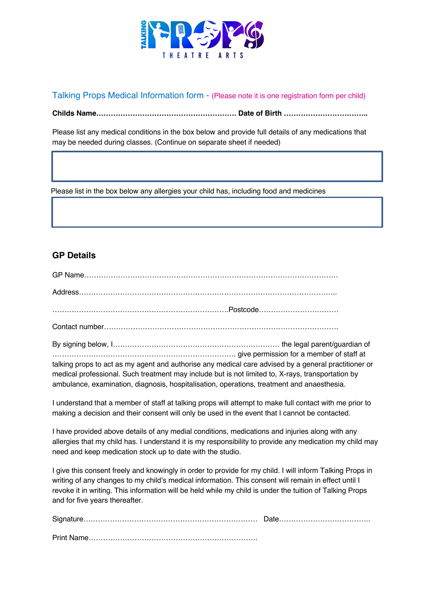

Talking Props Medical Information form - (Please note it is one registration form per child)

**Childs Name…………………………………………………. Date of Birth ……………………………..**

Please list any medical conditions in the box below and provide full details of any medications that may be needed during classes. (Continue on separate sheet if needed)

Please list in the box below any allergies your child has, including food and medicines

# **GP Details**

l.

By signing below, I…………………………………………………………… the legal parent/guardian of …………………………………………………………………. give permission for a member of staff at talking props to act as my agent and authorise any medical care advised by a general practitioner or medical professional. Such treatment may include but is not limited to, X-rays, transportation by ambulance, examination, diagnosis, hospitalisation, operations, treatment and anaesthesia.

I understand that a member of staff at talking props will attempt to make full contact with me prior to making a decision and their consent will only be used in the event that I cannot be contacted.

I have provided above details of any medial conditions, medications and injuries along with any allergies that my child has. I understand it is my responsibility to provide any medication my child may need and keep medication stock up to date with the studio.

I give this consent freely and knowingly in order to provide for my child. I will inform Talking Props in writing of any changes to my child's medical information. This consent will remain in effect until I revoke it in writing. This information will be held while my child is under the tuition of Talking Props and for five years thereafter.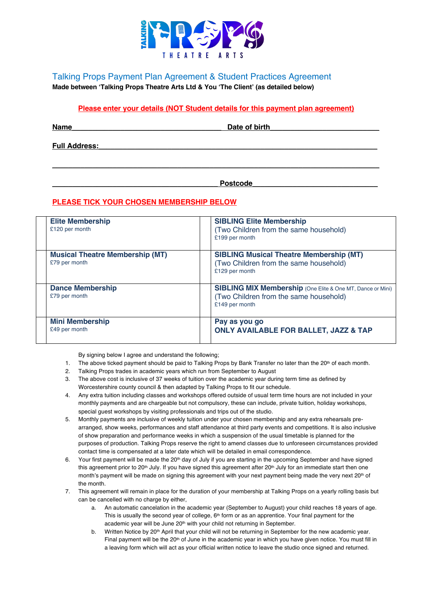

Talking Props Payment Plan Agreement & Student Practices Agreement **Made between 'Talking Props Theatre Arts Ltd & You 'The Client' (as detailed below)**

### **Please enter your details (NOT Student details for this payment plan agreement)**

**\_\_\_\_\_\_\_\_\_\_\_\_\_\_\_\_\_\_\_\_\_\_\_\_\_\_\_\_\_\_\_\_\_\_\_\_\_\_\_\_\_\_\_\_\_\_\_\_\_\_\_\_\_\_\_\_\_\_\_\_\_\_\_\_\_\_\_\_\_\_\_\_\_\_\_\_\_\_\_\_\_**

**Name** 

**Full Address:\_\_\_\_\_\_\_\_\_\_\_\_\_\_\_\_\_\_\_\_\_\_\_\_\_\_\_\_\_\_\_\_\_\_\_\_\_\_\_\_\_\_\_\_\_\_\_\_\_\_\_\_\_\_\_\_\_\_\_\_\_\_\_\_\_\_\_\_\_**

**\_\_\_\_\_\_\_\_\_\_\_\_\_\_\_\_\_\_\_\_\_\_\_\_\_\_\_\_\_\_\_\_\_\_\_\_\_\_\_\_\_ Postcode\_\_\_\_\_\_\_\_\_\_\_\_\_\_\_\_\_\_\_\_\_\_\_\_\_\_\_\_\_\_\_**

### **PLEASE TICK YOUR CHOSEN MEMBERSHIP BELOW**

| <b>Elite Membership</b><br>£120 per month               | <b>SIBLING Elite Membership</b><br>(Two Children from the same household)<br>£199 per month                                   |
|---------------------------------------------------------|-------------------------------------------------------------------------------------------------------------------------------|
| <b>Musical Theatre Membership (MT)</b><br>£79 per month | <b>SIBLING Musical Theatre Membership (MT)</b><br>(Two Children from the same household)<br>£129 per month                    |
| <b>Dance Membership</b><br>£79 per month                | <b>SIBLING MIX Membership</b> (One Elite & One MT, Dance or Mini)<br>(Two Children from the same household)<br>£149 per month |
| <b>Mini Membership</b><br>£49 per month                 | Pay as you go<br><b>ONLY AVAILABLE FOR BALLET, JAZZ &amp; TAP</b>                                                             |

By signing below I agree and understand the following;

- 1. The above ticked payment should be paid to Talking Props by Bank Transfer no later than the 20<sup>th</sup> of each month.
- 2. Talking Props trades in academic years which run from September to August
- 3. The above cost is inclusive of 37 weeks of tuition over the academic year during term time as defined by Worcestershire county council & then adapted by Talking Props to fit our schedule.
- 4. Any extra tuition including classes and workshops offered outside of usual term time hours are not included in your monthly payments and are chargeable but not compulsory, these can include, private tuition, holiday workshops, special guest workshops by visiting professionals and trips out of the studio.
- 5. Monthly payments are inclusive of weekly tuition under your chosen membership and any extra rehearsals prearranged, show weeks, performances and staff attendance at third party events and competitions. It is also inclusive of show preparation and performance weeks in which a suspension of the usual timetable is planned for the purposes of production. Talking Props reserve the right to amend classes due to unforeseen circumstances provided contact time is compensated at a later date which will be detailed in email correspondence.
- 6. Your first payment will be made the 20<sup>th</sup> day of July if you are starting in the upcoming September and have signed this agreement prior to 20<sup>th</sup> July. If you have signed this agreement after 20<sup>th</sup> July for an immediate start then one month's payment will be made on signing this agreement with your next payment being made the very next 20<sup>th</sup> of the month.
- 7. This agreement will remain in place for the duration of your membership at Talking Props on a yearly rolling basis but can be cancelled with no charge by either,
	- a. An automatic cancelation in the academic year (September to August) your child reaches 18 years of age. This is usually the second year of college,  $6<sup>th</sup>$  form or as an apprentice. Your final payment for the academic year will be June 20<sup>th</sup> with your child not returning in September.
	- b. Written Notice by 20<sup>th</sup> April that your child will not be returning in September for the new academic year. Final payment will be the 20<sup>th</sup> of June in the academic year in which you have given notice. You must fill in a leaving form which will act as your official written notice to leave the studio once signed and returned.